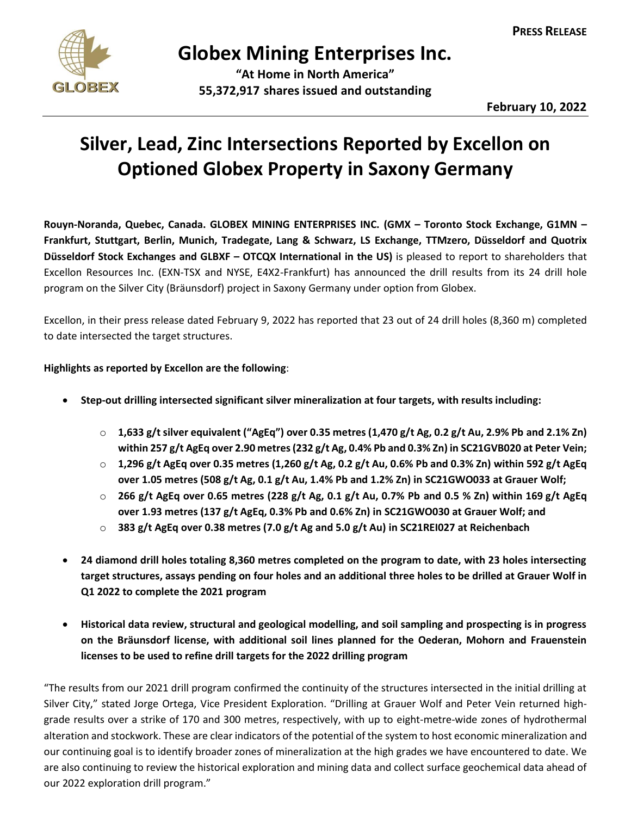

## **Globex Mining Enterprises Inc.**

**"At Home in North America" 55,372,917 shares issued and outstanding**

**February 10, 2022**

## **Silver, Lead, Zinc Intersections Reported by Excellon on Optioned Globex Property in Saxony Germany**

**Rouyn-Noranda, Quebec, Canada. GLOBEX MINING ENTERPRISES INC. (GMX – Toronto Stock Exchange, G1MN – Frankfurt, Stuttgart, Berlin, Munich, Tradegate, Lang & Schwarz, LS Exchange, TTMzero, Düsseldorf and Quotrix Düsseldorf Stock Exchanges and GLBXF – OTCQX International in the US)** is pleased to report to shareholders that Excellon Resources Inc. (EXN-TSX and NYSE, E4X2-Frankfurt) has announced the drill results from its 24 drill hole program on the Silver City (Bräunsdorf) project in Saxony Germany under option from Globex.

Excellon, in their press release dated February 9, 2022 has reported that 23 out of 24 drill holes (8,360 m) completed to date intersected the target structures.

## **Highlights as reported by Excellon are the following**:

- **Step-out drilling intersected significant silver mineralization at four targets, with results including:**
	- o **1,633 g/t silver equivalent ("AgEq") over 0.35 metres (1,470 g/t Ag, 0.2 g/t Au, 2.9% Pb and 2.1% Zn) within 257 g/t AgEq over 2.90 metres (232 g/t Ag, 0.4% Pb and 0.3% Zn) in SC21GVB020 at Peter Vein;**
	- o **1,296 g/t AgEq over 0.35 metres (1,260 g/t Ag, 0.2 g/t Au, 0.6% Pb and 0.3% Zn) within 592 g/t AgEq over 1.05 metres (508 g/t Ag, 0.1 g/t Au, 1.4% Pb and 1.2% Zn) in SC21GWO033 at Grauer Wolf;**
	- o **266 g/t AgEq over 0.65 metres (228 g/t Ag, 0.1 g/t Au, 0.7% Pb and 0.5 % Zn) within 169 g/t AgEq over 1.93 metres (137 g/t AgEq, 0.3% Pb and 0.6% Zn) in SC21GWO030 at Grauer Wolf; and**
	- o **383 g/t AgEq over 0.38 metres (7.0 g/t Ag and 5.0 g/t Au) in SC21REI027 at Reichenbach**
- **24 diamond drill holes totaling 8,360 metres completed on the program to date, with 23 holes intersecting target structures, assays pending on four holes and an additional three holes to be drilled at Grauer Wolf in Q1 2022 to complete the 2021 program**
- **Historical data review, structural and geological modelling, and soil sampling and prospecting is in progress on the Bräunsdorf license, with additional soil lines planned for the Oederan, Mohorn and Frauenstein licenses to be used to refine drill targets for the 2022 drilling program**

"The results from our 2021 drill program confirmed the continuity of the structures intersected in the initial drilling at Silver City," stated Jorge Ortega, Vice President Exploration. "Drilling at Grauer Wolf and Peter Vein returned highgrade results over a strike of 170 and 300 metres, respectively, with up to eight-metre-wide zones of hydrothermal alteration and stockwork. These are clear indicators of the potential of the system to host economic mineralization and our continuing goal is to identify broader zones of mineralization at the high grades we have encountered to date. We are also continuing to review the historical exploration and mining data and collect surface geochemical data ahead of our 2022 exploration drill program."